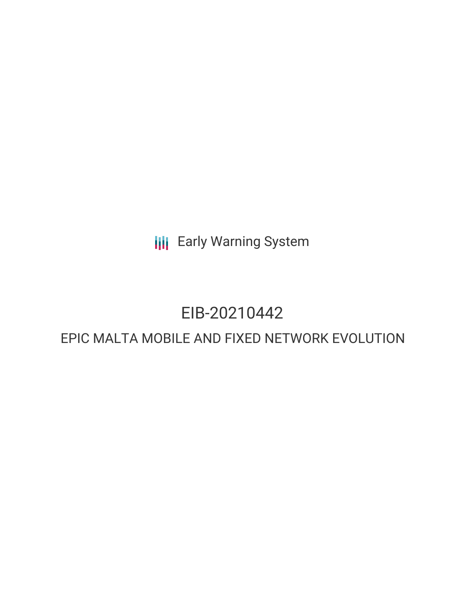**III** Early Warning System

## EIB-20210442

### EPIC MALTA MOBILE AND FIXED NETWORK EVOLUTION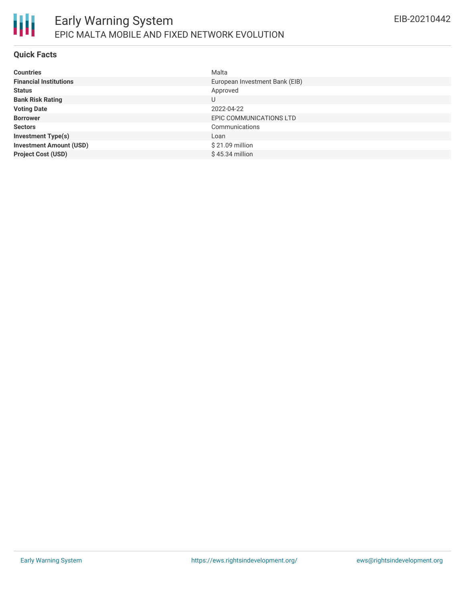

### **Quick Facts**

| <b>Countries</b>               | Malta                          |
|--------------------------------|--------------------------------|
| <b>Financial Institutions</b>  | European Investment Bank (EIB) |
| <b>Status</b>                  | Approved                       |
| <b>Bank Risk Rating</b>        | U                              |
| <b>Voting Date</b>             | 2022-04-22                     |
| <b>Borrower</b>                | EPIC COMMUNICATIONS LTD        |
| <b>Sectors</b>                 | Communications                 |
| <b>Investment Type(s)</b>      | Loan                           |
| <b>Investment Amount (USD)</b> | \$21.09 million                |
| <b>Project Cost (USD)</b>      | $$45.34$ million               |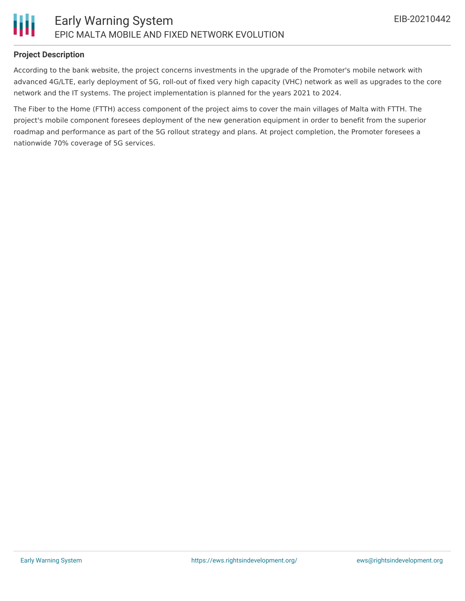

### **Project Description**

According to the bank website, the project concerns investments in the upgrade of the Promoter's mobile network with advanced 4G/LTE, early deployment of 5G, roll-out of fixed very high capacity (VHC) network as well as upgrades to the core network and the IT systems. The project implementation is planned for the years 2021 to 2024.

The Fiber to the Home (FTTH) access component of the project aims to cover the main villages of Malta with FTTH. The project's mobile component foresees deployment of the new generation equipment in order to benefit from the superior roadmap and performance as part of the 5G rollout strategy and plans. At project completion, the Promoter foresees a nationwide 70% coverage of 5G services.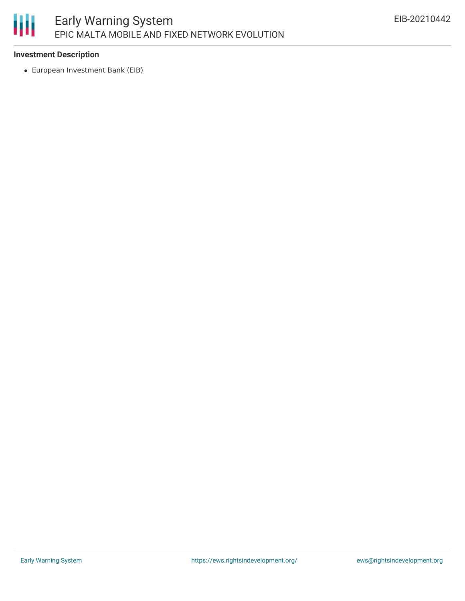# 朋

### **Investment Description**

European Investment Bank (EIB)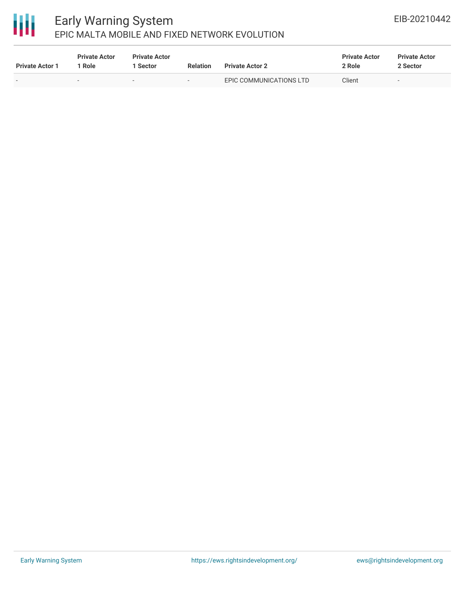## 冊

### Early Warning System EPIC MALTA MOBILE AND FIXED NETWORK EVOLUTION

| <b>Private Actor 1</b>   | <b>Private Actor</b><br>Role | <b>Private Actor</b><br><b>Sector</b> | <b>Relation</b> | <b>Private Actor 2</b>  | <b>Private Actor</b><br>2 Role | <b>Private Actor</b><br>2 Sector |
|--------------------------|------------------------------|---------------------------------------|-----------------|-------------------------|--------------------------------|----------------------------------|
| $\overline{\phantom{a}}$ | -                            | $\overline{\phantom{a}}$              | $\sim$          | EPIC COMMUNICATIONS LTD | Client                         | $\sim$                           |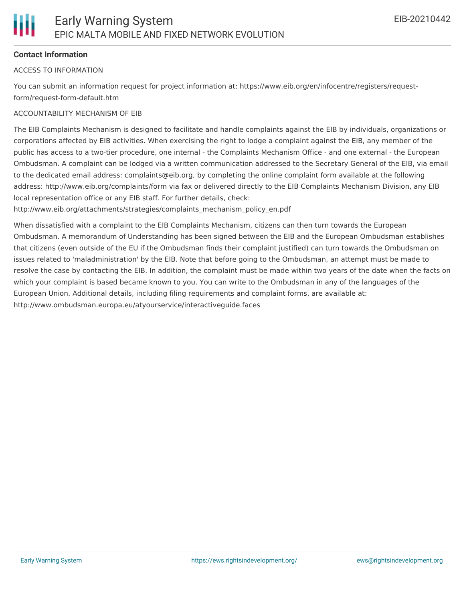### **Contact Information**

### ACCESS TO INFORMATION

You can submit an information request for project information at: https://www.eib.org/en/infocentre/registers/requestform/request-form-default.htm

### ACCOUNTABILITY MECHANISM OF EIB

The EIB Complaints Mechanism is designed to facilitate and handle complaints against the EIB by individuals, organizations or corporations affected by EIB activities. When exercising the right to lodge a complaint against the EIB, any member of the public has access to a two-tier procedure, one internal - the Complaints Mechanism Office - and one external - the European Ombudsman. A complaint can be lodged via a written communication addressed to the Secretary General of the EIB, via email to the dedicated email address: complaints@eib.org, by completing the online complaint form available at the following address: http://www.eib.org/complaints/form via fax or delivered directly to the EIB Complaints Mechanism Division, any EIB local representation office or any EIB staff. For further details, check:

http://www.eib.org/attachments/strategies/complaints\_mechanism\_policy\_en.pdf

When dissatisfied with a complaint to the EIB Complaints Mechanism, citizens can then turn towards the European Ombudsman. A memorandum of Understanding has been signed between the EIB and the European Ombudsman establishes that citizens (even outside of the EU if the Ombudsman finds their complaint justified) can turn towards the Ombudsman on issues related to 'maladministration' by the EIB. Note that before going to the Ombudsman, an attempt must be made to resolve the case by contacting the EIB. In addition, the complaint must be made within two years of the date when the facts on which your complaint is based became known to you. You can write to the Ombudsman in any of the languages of the European Union. Additional details, including filing requirements and complaint forms, are available at: http://www.ombudsman.europa.eu/atyourservice/interactiveguide.faces